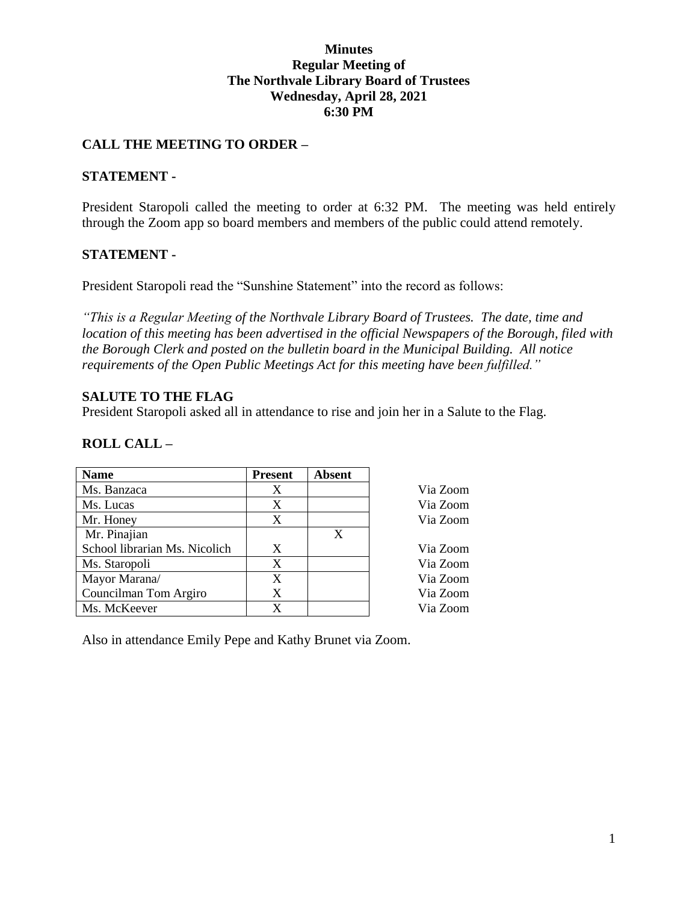### **Minutes Regular Meeting of The Northvale Library Board of Trustees Wednesday, April 28, 2021 6:30 PM**

## **CALL THE MEETING TO ORDER –**

### **STATEMENT -**

President Staropoli called the meeting to order at 6:32 PM. The meeting was held entirely through the Zoom app so board members and members of the public could attend remotely.

### **STATEMENT -**

President Staropoli read the "Sunshine Statement" into the record as follows:

*"This is a Regular Meeting of the Northvale Library Board of Trustees. The date, time and location of this meeting has been advertised in the official Newspapers of the Borough, filed with the Borough Clerk and posted on the bulletin board in the Municipal Building. All notice requirements of the Open Public Meetings Act for this meeting have been fulfilled."* 

### **SALUTE TO THE FLAG**

President Staropoli asked all in attendance to rise and join her in a Salute to the Flag.

## **ROLL CALL –**

| <b>Name</b>                   | <b>Present</b> | <b>Absent</b> |          |
|-------------------------------|----------------|---------------|----------|
| Ms. Banzaca                   | X              |               | Via Zoom |
| Ms. Lucas                     | X              |               | Via Zoom |
| Mr. Honey                     | X              |               | Via Zoom |
| Mr. Pinajian                  |                | X             |          |
| School librarian Ms. Nicolich | X              |               | Via Zoom |
| Ms. Staropoli                 | X              |               | Via Zoom |
| Mayor Marana/                 | X              |               | Via Zoom |
| Councilman Tom Argiro         | X              |               | Via Zoom |
| Ms. McKeever                  | X              |               | Via Zoom |

Also in attendance Emily Pepe and Kathy Brunet via Zoom.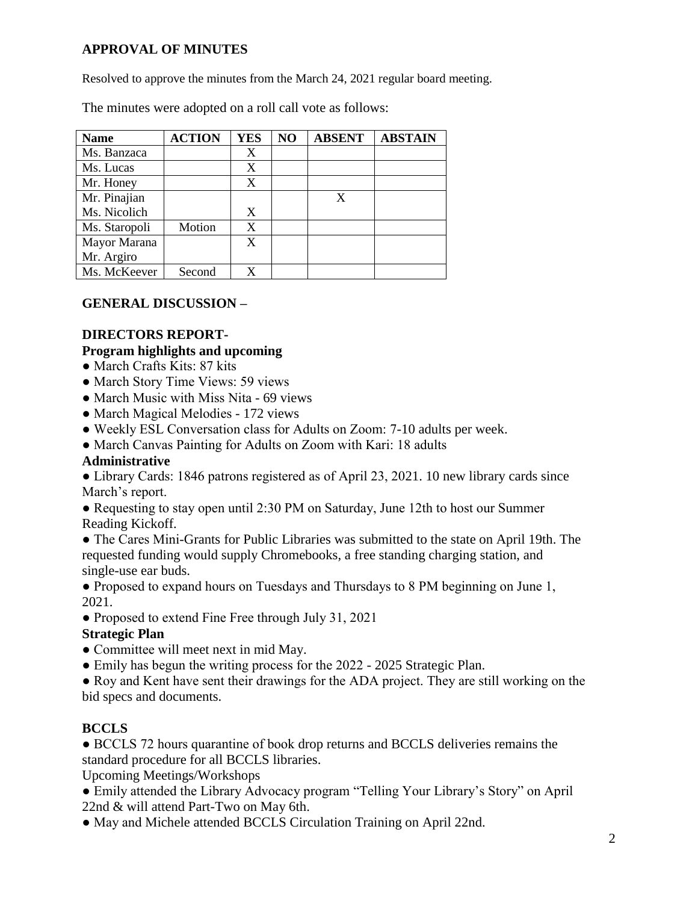# **APPROVAL OF MINUTES**

Resolved to approve the minutes from the March 24, 2021 regular board meeting.

The minutes were adopted on a roll call vote as follows:

| <b>Name</b>   | <b>ACTION</b> | <b>YES</b> | NO | <b>ABSENT</b> | <b>ABSTAIN</b> |
|---------------|---------------|------------|----|---------------|----------------|
| Ms. Banzaca   |               | X          |    |               |                |
| Ms. Lucas     |               | X          |    |               |                |
| Mr. Honey     |               | X          |    |               |                |
| Mr. Pinajian  |               |            |    | X             |                |
| Ms. Nicolich  |               | X          |    |               |                |
| Ms. Staropoli | Motion        | X          |    |               |                |
| Mayor Marana  |               | X          |    |               |                |
| Mr. Argiro    |               |            |    |               |                |
| Ms. McKeever  | Second        | X          |    |               |                |

## **GENERAL DISCUSSION –**

# **DIRECTORS REPORT-**

## **Program highlights and upcoming**

- March Crafts Kits: 87 kits
- March Story Time Views: 59 views
- March Music with Miss Nita 69 views
- March Magical Melodies 172 views
- Weekly ESL Conversation class for Adults on Zoom: 7-10 adults per week.
- March Canvas Painting for Adults on Zoom with Kari: 18 adults

# **Administrative**

• Library Cards: 1846 patrons registered as of April 23, 2021. 10 new library cards since March's report.

● Requesting to stay open until 2:30 PM on Saturday, June 12th to host our Summer Reading Kickoff.

● The Cares Mini-Grants for Public Libraries was submitted to the state on April 19th. The requested funding would supply Chromebooks, a free standing charging station, and single-use ear buds.

● Proposed to expand hours on Tuesdays and Thursdays to 8 PM beginning on June 1, 2021.

• Proposed to extend Fine Free through July 31, 2021

## **Strategic Plan**

- Committee will meet next in mid May.
- Emily has begun the writing process for the 2022 2025 Strategic Plan.

● Roy and Kent have sent their drawings for the ADA project. They are still working on the bid specs and documents.

# **BCCLS**

● BCCLS 72 hours quarantine of book drop returns and BCCLS deliveries remains the standard procedure for all BCCLS libraries.

Upcoming Meetings/Workshops

- Emily attended the Library Advocacy program "Telling Your Library's Story" on April 22nd & will attend Part-Two on May 6th.
- May and Michele attended BCCLS Circulation Training on April 22nd.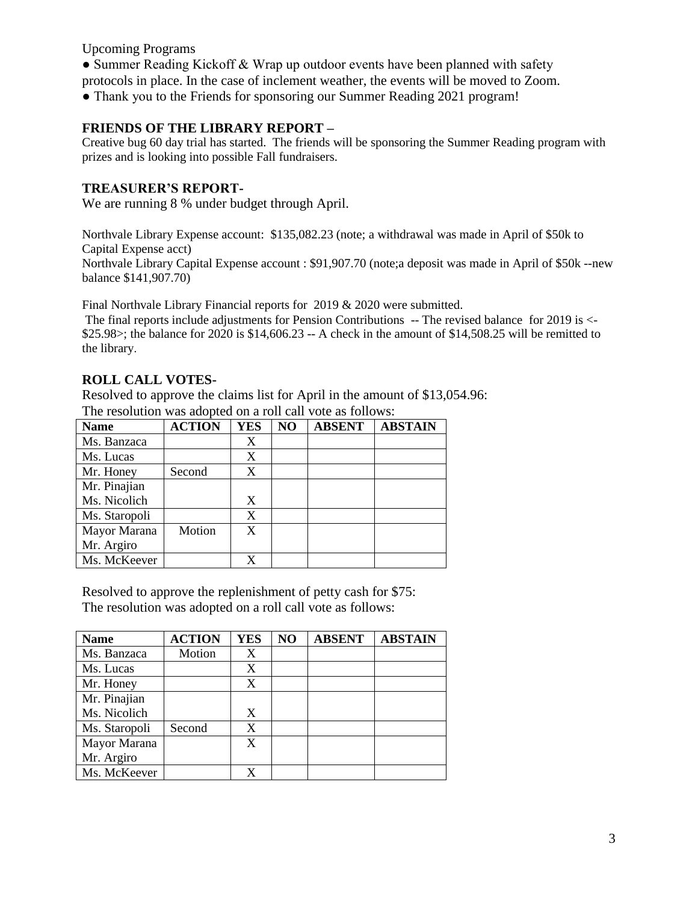Upcoming Programs

• Summer Reading Kickoff & Wrap up outdoor events have been planned with safety

protocols in place. In the case of inclement weather, the events will be moved to Zoom.

• Thank you to the Friends for sponsoring our Summer Reading 2021 program!

#### **FRIENDS OF THE LIBRARY REPORT –**

Creative bug 60 day trial has started. The friends will be sponsoring the Summer Reading program with prizes and is looking into possible Fall fundraisers.

#### **TREASURER'S REPORT-**

We are running 8 % under budget through April.

Northvale Library Expense account: \$135,082.23 (note; a withdrawal was made in April of \$50k to Capital Expense acct)

Northvale Library Capital Expense account : \$91,907.70 (note;a deposit was made in April of \$50k --new balance \$141,907.70)

Final Northvale Library Financial reports for 2019 & 2020 were submitted.

The final reports include adjustments for Pension Contributions -- The revised balance for 2019 is <- \$25.98 $>$ ; the balance for 2020 is \$14,606.23 -- A check in the amount of \$14,508.25 will be remitted to the library.

### **ROLL CALL VOTES-**

Resolved to approve the claims list for April in the amount of \$13,054.96:

| <b>Name</b>   | <b>ACTION</b> | <b>YES</b> | NO | <b>ABSENT</b> | <b>ABSTAIN</b> |
|---------------|---------------|------------|----|---------------|----------------|
| Ms. Banzaca   |               | X          |    |               |                |
| Ms. Lucas     |               | X          |    |               |                |
| Mr. Honey     | Second        | X          |    |               |                |
| Mr. Pinajian  |               |            |    |               |                |
| Ms. Nicolich  |               | X          |    |               |                |
| Ms. Staropoli |               | X          |    |               |                |
| Mayor Marana  | Motion        | X          |    |               |                |
| Mr. Argiro    |               |            |    |               |                |
| Ms. McKeever  |               |            |    |               |                |

The resolution was adopted on a roll call vote as follows:

Resolved to approve the replenishment of petty cash for \$75: The resolution was adopted on a roll call vote as follows:

| <b>Name</b>   | <b>ACTION</b> | <b>YES</b> | NO | <b>ABSENT</b> | <b>ABSTAIN</b> |
|---------------|---------------|------------|----|---------------|----------------|
| Ms. Banzaca   | Motion        | X          |    |               |                |
| Ms. Lucas     |               | X          |    |               |                |
| Mr. Honey     |               | X          |    |               |                |
| Mr. Pinajian  |               |            |    |               |                |
| Ms. Nicolich  |               | X          |    |               |                |
| Ms. Staropoli | Second        | X          |    |               |                |
| Mayor Marana  |               | X          |    |               |                |
| Mr. Argiro    |               |            |    |               |                |
| Ms. McKeever  |               |            |    |               |                |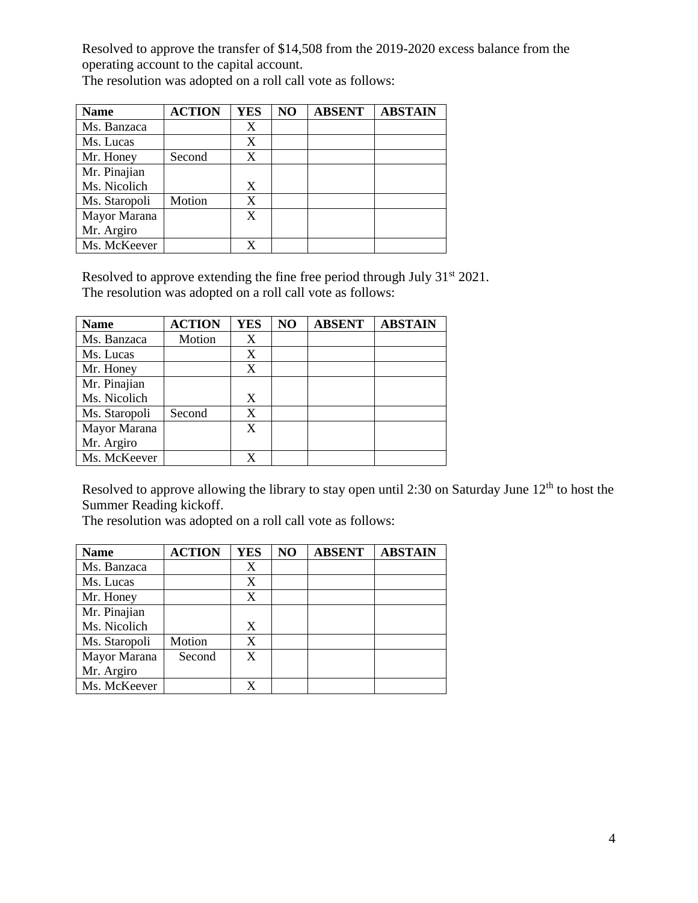Resolved to approve the transfer of \$14,508 from the 2019-2020 excess balance from the operating account to the capital account.

The resolution was adopted on a roll call vote as follows:

| <b>Name</b>   | <b>ACTION</b> | <b>YES</b> | N <sub>O</sub> | <b>ABSENT</b> | <b>ABSTAIN</b> |
|---------------|---------------|------------|----------------|---------------|----------------|
| Ms. Banzaca   |               | X          |                |               |                |
| Ms. Lucas     |               | X          |                |               |                |
| Mr. Honey     | Second        | X          |                |               |                |
| Mr. Pinajian  |               |            |                |               |                |
| Ms. Nicolich  |               | X          |                |               |                |
| Ms. Staropoli | Motion        | X          |                |               |                |
| Mayor Marana  |               | X          |                |               |                |
| Mr. Argiro    |               |            |                |               |                |
| Ms. McKeever  |               |            |                |               |                |

Resolved to approve extending the fine free period through July  $31<sup>st</sup> 2021$ . The resolution was adopted on a roll call vote as follows:

| <b>Name</b>   | <b>ACTION</b> | <b>YES</b> | NO | <b>ABSENT</b> | <b>ABSTAIN</b> |
|---------------|---------------|------------|----|---------------|----------------|
| Ms. Banzaca   | Motion        |            |    |               |                |
| Ms. Lucas     |               | X          |    |               |                |
| Mr. Honey     |               | X          |    |               |                |
| Mr. Pinajian  |               |            |    |               |                |
| Ms. Nicolich  |               | X          |    |               |                |
| Ms. Staropoli | Second        | X          |    |               |                |
| Mayor Marana  |               | X          |    |               |                |
| Mr. Argiro    |               |            |    |               |                |
| Ms. McKeever  |               |            |    |               |                |

Resolved to approve allowing the library to stay open until 2:30 on Saturday June 12<sup>th</sup> to host the Summer Reading kickoff.

The resolution was adopted on a roll call vote as follows:

| <b>Name</b>   | <b>ACTION</b> | <b>YES</b> | NO | <b>ABSENT</b> | <b>ABSTAIN</b> |
|---------------|---------------|------------|----|---------------|----------------|
| Ms. Banzaca   |               | X          |    |               |                |
| Ms. Lucas     |               | X          |    |               |                |
| Mr. Honey     |               | X          |    |               |                |
| Mr. Pinajian  |               |            |    |               |                |
| Ms. Nicolich  |               | X          |    |               |                |
| Ms. Staropoli | Motion        | X          |    |               |                |
| Mayor Marana  | Second        | X          |    |               |                |
| Mr. Argiro    |               |            |    |               |                |
| Ms. McKeever  |               | X          |    |               |                |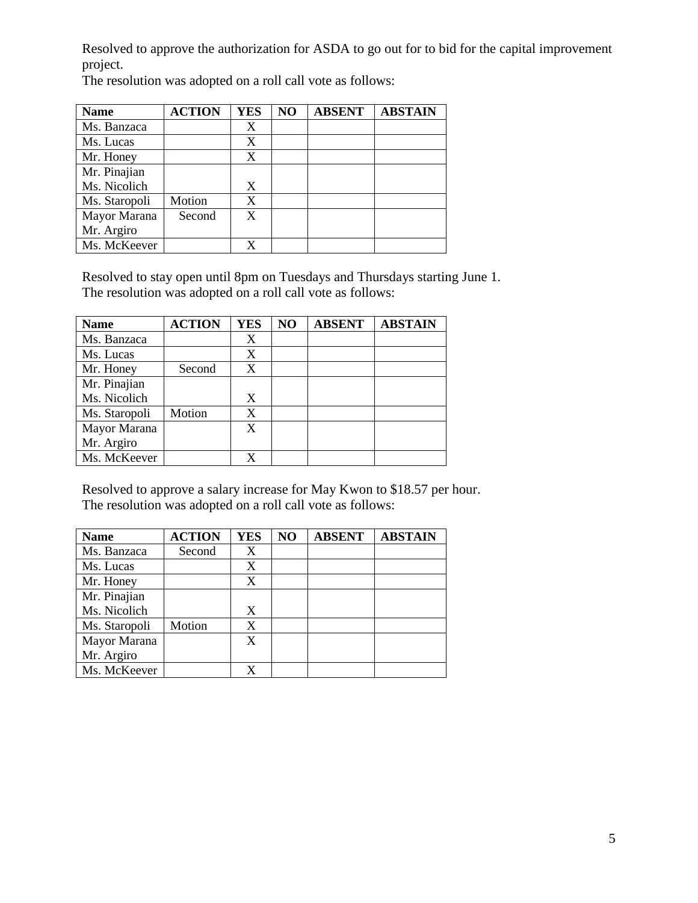Resolved to approve the authorization for ASDA to go out for to bid for the capital improvement project.

The resolution was adopted on a roll call vote as follows:

| <b>Name</b>   | <b>ACTION</b> | <b>YES</b> | NO | <b>ABSENT</b> | <b>ABSTAIN</b> |
|---------------|---------------|------------|----|---------------|----------------|
| Ms. Banzaca   |               | X          |    |               |                |
| Ms. Lucas     |               | X          |    |               |                |
| Mr. Honey     |               | X          |    |               |                |
| Mr. Pinajian  |               |            |    |               |                |
| Ms. Nicolich  |               | X          |    |               |                |
| Ms. Staropoli | Motion        | X          |    |               |                |
| Mayor Marana  | Second        | X          |    |               |                |
| Mr. Argiro    |               |            |    |               |                |
| Ms. McKeever  |               | X          |    |               |                |

Resolved to stay open until 8pm on Tuesdays and Thursdays starting June 1. The resolution was adopted on a roll call vote as follows:

| <b>Name</b>   | <b>ACTION</b> | <b>YES</b> | NO | <b>ABSENT</b> | <b>ABSTAIN</b> |
|---------------|---------------|------------|----|---------------|----------------|
| Ms. Banzaca   |               | X          |    |               |                |
| Ms. Lucas     |               | X          |    |               |                |
| Mr. Honey     | Second        | X          |    |               |                |
| Mr. Pinajian  |               |            |    |               |                |
| Ms. Nicolich  |               | X          |    |               |                |
| Ms. Staropoli | Motion        | X          |    |               |                |
| Mayor Marana  |               | X          |    |               |                |
| Mr. Argiro    |               |            |    |               |                |
| Ms. McKeever  |               |            |    |               |                |

Resolved to approve a salary increase for May Kwon to \$18.57 per hour. The resolution was adopted on a roll call vote as follows:

| <b>Name</b>   | <b>ACTION</b> | <b>YES</b> | NO | <b>ABSENT</b> | <b>ABSTAIN</b> |
|---------------|---------------|------------|----|---------------|----------------|
| Ms. Banzaca   | Second        | X          |    |               |                |
| Ms. Lucas     |               | X          |    |               |                |
| Mr. Honey     |               | X          |    |               |                |
| Mr. Pinajian  |               |            |    |               |                |
| Ms. Nicolich  |               | X          |    |               |                |
| Ms. Staropoli | Motion        | X          |    |               |                |
| Mayor Marana  |               | X          |    |               |                |
| Mr. Argiro    |               |            |    |               |                |
| Ms. McKeever  |               |            |    |               |                |